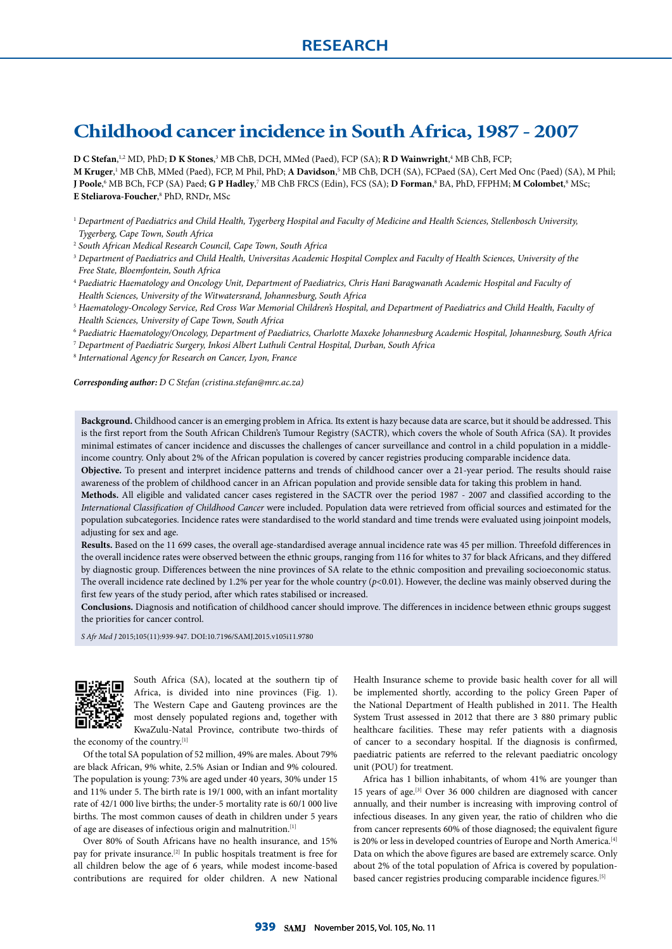# **Childhood cancer incidence in South Africa, 1987 - 2007**

**D C Stefan**, 1,2 MD, PhD; **D K Stones**, 3 MB ChB, DCH, MMed (Paed), FCP (SA); **R D Wainwright**, 4 MB ChB, FCP;  $M$  Kruger,<sup>1</sup> MB ChB, MMed (Paed), FCP, M Phil, PhD; **A Davidson**,<sup>5</sup> MB ChB, DCH (SA), FCPaed (SA), Cert Med Onc (Paed) (SA), M Phil; **J Poole,'** MB BCh, FCP (SA) Paed; **G P Hadley**,<sup>7</sup> MB ChB FRCS (Edin), FCS (SA); **D Forman**,' BA, PhD, FFPHM; **M Colombet**,'' MSc; **E Steliarova-Foucher**,<sup>8</sup> PhD, RNDr, MSc

- <sup>1</sup> *Department of Paediatrics and Child Health, Tygerberg Hospital and Faculty of Medicine and Health Sciences, Stellenbosch University, Tygerberg, Cape Town, South Africa*
- <sup>2</sup> *South African Medical Research Council, Cape Town, South Africa*
- <sup>3</sup> *Department of Paediatrics and Child Health, Universitas Academic Hospital Complex and Faculty of Health Sciences, University of the Free State, Bloemfontein, South Africa*
- <sup>4</sup> *Paediatric Haematology and Oncology Unit, Department of Paediatrics, Chris Hani Baragwanath Academic Hospital and Faculty of Health Sciences, University of the Witwatersrand, Johannesburg, South Africa*
- <sup>5</sup> *Haematology-Oncology Service, Red Cross War Memorial Children's Hospital, and Department of Paediatrics and Child Health, Faculty of Health Sciences, University of Cape Town, South Africa*
- <sup>6</sup> *Paediatric Haematology/Oncology, Department of Paediatrics, Charlotte Maxeke Johannesburg Academic Hospital, Johannesburg, South Africa*
- <sup>7</sup> *Department of Paediatric Surgery, Inkosi Albert Luthuli Central Hospital, Durban, South Africa*

<sup>8</sup> *International Agency for Research on Cancer, Lyon, France*

*Corresponding author: D C Stefan (cristina.stefan@mrc.ac.za)*

**Background.** Childhood cancer is an emerging problem in Africa. Its extent is hazy because data are scarce, but it should be addressed. This is the first report from the South African Children's Tumour Registry (SACTR), which covers the whole of South Africa (SA). It provides minimal estimates of cancer incidence and discusses the challenges of cancer surveillance and control in a child population in a middleincome country. Only about 2% of the African population is covered by cancer registries producing comparable incidence data.

**Objective.** To present and interpret incidence patterns and trends of childhood cancer over a 21-year period. The results should raise awareness of the problem of childhood cancer in an African population and provide sensible data for taking this problem in hand.

**Methods.** All eligible and validated cancer cases registered in the SACTR over the period 1987 - 2007 and classified according to the *International Classification of Childhood Cancer* were included. Population data were retrieved from official sources and estimated for the population subcategories. Incidence rates were standardised to the world standard and time trends were evaluated using joinpoint models, adjusting for sex and age.

**Results.** Based on the 11 699 cases, the overall age-standardised average annual incidence rate was 45 per million. Threefold differences in the overall incidence rates were observed between the ethnic groups, ranging from 116 for whites to 37 for black Africans, and they differed by diagnostic group. Differences between the nine provinces of SA relate to the ethnic composition and prevailing socioeconomic status. The overall incidence rate declined by 1.2% per year for the whole country  $(p<0.01)$ . However, the decline was mainly observed during the first few years of the study period, after which rates stabilised or increased.

**Conclusions.** Diagnosis and notification of childhood cancer should improve. The differences in incidence between ethnic groups suggest the priorities for cancer control.

*S Afr Med J* 2015;105(11):939-947. DOI:10.7196/SAMJ.2015.v105i11.9780



South Africa (SA), located at the southern tip of Africa, is divided into nine provinces (Fig. 1). The Western Cape and Gauteng provinces are the most densely populated regions and, together with KwaZulu-Natal Province, contribute two-thirds of

the economy of the country.<sup>[1]</sup>

Of the total SA population of 52 million, 49% are males. About 79% are black African, 9% white, 2.5% Asian or Indian and 9% coloured. The population is young: 73% are aged under 40 years, 30% under 15 and 11% under 5. The birth rate is 19/1 000, with an infant mortality rate of 42/1 000 live births; the under-5 mortality rate is 60/1 000 live births. The most common causes of death in children under 5 years of age are diseases of infectious origin and malnutrition.[1]

Over 80% of South Africans have no health insurance, and 15% pay for private insurance.[2] In public hospitals treatment is free for all children below the age of 6 years, while modest income-based contributions are required for older children. A new National Health Insurance scheme to provide basic health cover for all will be implemented shortly, according to the policy Green Paper of the National Department of Health published in 2011. The Health System Trust assessed in 2012 that there are 3 880 primary public healthcare facilities. These may refer patients with a diagnosis of cancer to a secondary hospital. If the diagnosis is confirmed, paediatric patients are referred to the relevant paediatric oncology unit (POU) for treatment.

Africa has 1 billion inhabitants, of whom 41% are younger than 15 years of age.[3] Over 36 000 children are diagnosed with cancer annually, and their number is increasing with improving control of infectious diseases. In any given year, the ratio of children who die from cancer represents 60% of those diagnosed; the equivalent figure is 20% or less in developed countries of Europe and North America.<sup>[4]</sup> Data on which the above figures are based are extremely scarce. Only about 2% of the total population of Africa is covered by populationbased cancer registries producing comparable incidence figures.[5]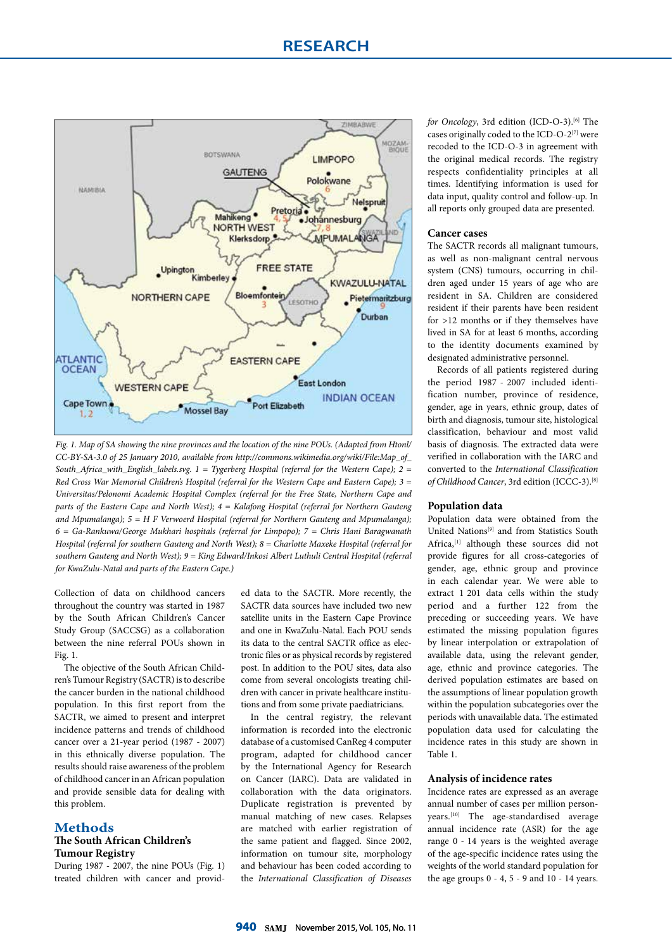## **RESEARCH**



*Fig. 1. Map of SA showing the nine provinces and the location of the nine POUs. (Adapted from Htonl/ CC-BY-SA-3.0 of 25 January 2010, available from http://commons.wikimedia.org/wiki/File:Map\_of\_ South\_Africa\_with\_English\_labels.svg. 1 = Tygerberg Hospital (referral for the Western Cape); 2 = Red Cross War Memorial Children's Hospital (referral for the Western Cape and Eastern Cape); 3 = Universitas/Pelonomi Academic Hospital Complex (referral for the Free State, Northern Cape and parts of the Eastern Cape and North West); 4 = Kalafong Hospital (referral for Northern Gauteng and Mpumalanga); 5 = H F Verwoerd Hospital (referral for Northern Gauteng and Mpumalanga); 6 = Ga-Rankuwa/George Mukhari hospitals (referral for Limpopo); 7 = Chris Hani Baragwanath Hospital (referral for southern Gauteng and North West); 8 = Charlotte Maxeke Hospital (referral for southern Gauteng and North West); 9 = King Edward/Inkosi Albert Luthuli Central Hospital (referral for KwaZulu-Natal and parts of the Eastern Cape.)*

Collection of data on childhood cancers throughout the country was started in 1987 by the South African Children's Cancer Study Group (SACCSG) as a collaboration between the nine referral POUs shown in Fig. 1.

The objective of the South African Children's Tumour Registry (SACTR) is to describe the cancer burden in the national childhood population. In this first report from the SACTR, we aimed to present and interpret incidence patterns and trends of childhood cancer over a 21-year period (1987 - 2007) in this ethnically diverse population. The results should raise awareness of the problem of childhood cancer in an African population and provide sensible data for dealing with this problem.

#### **Methods The South African Children's Tumour Registry**

During 1987 - 2007, the nine POUs (Fig. 1) treated children with cancer and provid-

ed data to the SACTR. More recently, the SACTR data sources have included two new satellite units in the Eastern Cape Province and one in KwaZulu-Natal. Each POU sends its data to the central SACTR office as electronic files or as physical records by registered post. In addition to the POU sites, data also come from several oncologists treating children with cancer in private healthcare institutions and from some private paediatricians.

In the central registry, the relevant information is recorded into the electronic database of a customised CanReg 4 computer program, adapted for childhood cancer by the International Agency for Research on Cancer (IARC). Data are validated in collaboration with the data originators. Duplicate registration is prevented by manual matching of new cases. Relapses are matched with earlier registration of the same patient and flagged. Since 2002, information on tumour site, morphology and behaviour has been coded according to the *International Classification of Diseases* 

*for Oncology*, 3rd edition (ICD-O-3).<sup>[6]</sup> The cases originally coded to the ICD-O-2 $^{[7]}$  were recoded to the ICD-O-3 in agreement with the original medical records. The registry respects confidentiality principles at all times. Identifying information is used for data input, quality control and follow-up. In all reports only grouped data are presented.

#### **Cancer cases**

The SACTR records all malignant tumours, as well as non-malignant central nervous system (CNS) tumours, occurring in children aged under 15 years of age who are resident in SA. Children are considered resident if their parents have been resident for >12 months or if they themselves have lived in SA for at least 6 months, according to the identity documents examined by designated administrative personnel.

Records of all patients registered during the period 1987 - 2007 included identification number, province of residence, gender, age in years, ethnic group, dates of birth and diagnosis, tumour site, histological classification, behaviour and most valid basis of diagnosis. The extracted data were verified in collaboration with the IARC and converted to the *International Classification of Childhood Cancer*, 3rd edition (ICCC-3).[8]

#### **Population data**

Population data were obtained from the United Nations<sup>[9]</sup> and from Statistics South Africa,[1] although these sources did not provide figures for all cross-categories of gender, age, ethnic group and province in each calendar year. We were able to extract 1 201 data cells within the study period and a further 122 from the preceding or succeeding years. We have estimated the missing population figures by linear interpolation or extrapolation of available data, using the relevant gender, age, ethnic and province categories. The derived population estimates are based on the assumptions of linear population growth within the population subcategories over the periods with unavailable data. The estimated population data used for calculating the incidence rates in this study are shown in Table 1.

#### **Analysis of incidence rates**

Incidence rates are expressed as an average annual number of cases per million personyears.[10] The age-standardised average annual incidence rate (ASR) for the age range 0 - 14 years is the weighted average of the age-specific incidence rates using the weights of the world standard population for the age groups 0 - 4, 5 - 9 and 10 - 14 years.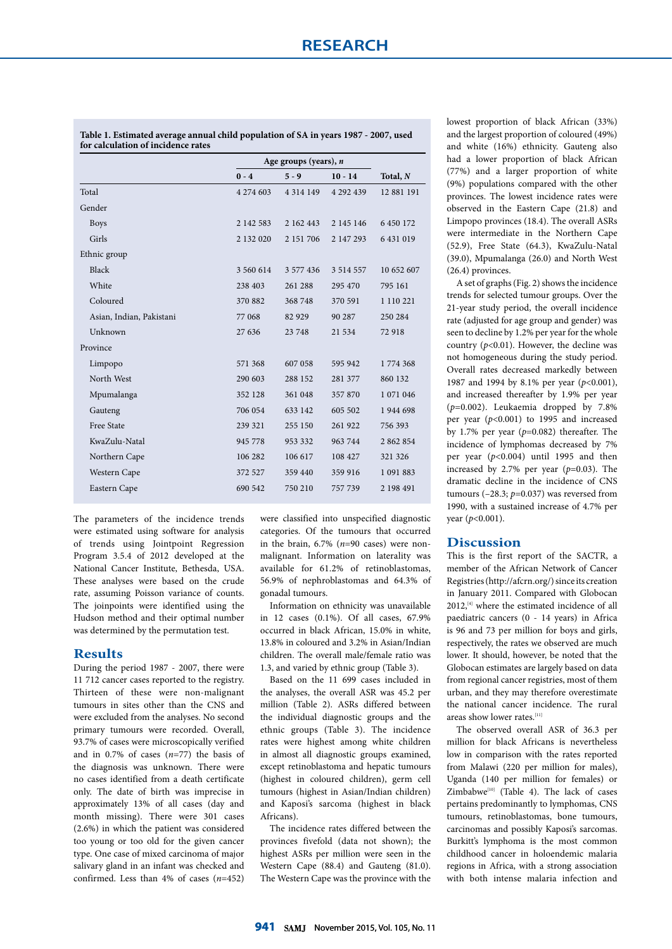**Table 1. Estimated average annual child population of SA in years 1987 - 2007, used for calculation of incidence rates**

|                          |           | Age groups (years), $n$ |               |            |  |  |  |
|--------------------------|-----------|-------------------------|---------------|------------|--|--|--|
|                          | $0 - 4$   | $5 - 9$                 | $10 - 14$     | Total, $N$ |  |  |  |
| Total                    | 4 274 603 | 4 3 1 4 1 4 9           | 4 292 439     | 12 881 191 |  |  |  |
| Gender                   |           |                         |               |            |  |  |  |
| <b>Boys</b>              | 2 142 583 | 2 162 443               | 2 145 146     | 6 450 172  |  |  |  |
| Girls                    | 2 132 020 | 2 151 706               | 2 147 293     | 6 431 019  |  |  |  |
| Ethnic group             |           |                         |               |            |  |  |  |
| Black                    | 3 560 614 | 3 577 436               | 3 5 1 4 5 5 7 | 10 652 607 |  |  |  |
| White                    | 238 403   | 261 288                 | 295 470       | 795 161    |  |  |  |
| Coloured                 | 370 882   | 368 748                 | 370 591       | 1 110 221  |  |  |  |
| Asian, Indian, Pakistani | 77 068    | 82 9 29                 | 90 287        | 250 284    |  |  |  |
| Unknown                  | 27 636    | 23 748                  | 21 534        | 72918      |  |  |  |
| Province                 |           |                         |               |            |  |  |  |
| Limpopo                  | 571 368   | 607 058                 | 595 942       | 1 774 368  |  |  |  |
| North West               | 290 603   | 288 152                 | 281 377       | 860 132    |  |  |  |
| Mpumalanga               | 352 128   | 361 048                 | 357 870       | 1 071 046  |  |  |  |
| Gauteng                  | 706 054   | 633 142                 | 605 502       | 1944 698   |  |  |  |
| <b>Free State</b>        | 239 321   | 255 150                 | 261 922       | 756 393    |  |  |  |
| KwaZulu-Natal            | 945 778   | 953 332                 | 963 744       | 2 862 854  |  |  |  |
| Northern Cape            | 106 282   | 106 617                 | 108 427       | 321 326    |  |  |  |
| Western Cape             | 372 527   | 359 440                 | 359 916       | 1 091 883  |  |  |  |
| Eastern Cape             | 690 542   | 750 210                 | 757 739       | 2 198 491  |  |  |  |
|                          |           |                         |               |            |  |  |  |

The parameters of the incidence trends were estimated using software for analysis of trends using Jointpoint Regression Program 3.5.4 of 2012 developed at the National Cancer Institute, Bethesda, USA. These analyses were based on the crude rate, assuming Poisson variance of counts. The joinpoints were identified using the Hudson method and their optimal number was determined by the permutation test.

#### **Results**

During the period 1987 - 2007, there were 11 712 cancer cases reported to the registry. Thirteen of these were non-malignant tumours in sites other than the CNS and were excluded from the analyses. No second primary tumours were recorded. Overall, 93.7% of cases were microscopically verified and in 0.7% of cases (*n*=77) the basis of the diagnosis was unknown. There were no cases identified from a death certificate only. The date of birth was imprecise in approximately 13% of all cases (day and month missing). There were 301 cases (2.6%) in which the patient was considered too young or too old for the given cancer type. One case of mixed carcinoma of major salivary gland in an infant was checked and confirmed. Less than 4% of cases (*n*=452) were classified into unspecified diagnostic categories. Of the tumours that occurred in the brain, 6.7% (*n*=90 cases) were nonmalignant. Information on laterality was available for 61.2% of retinoblastomas, 56.9% of nephroblastomas and 64.3% of gonadal tumours.

Information on ethnicity was unavailable in 12 cases (0.1%). Of all cases, 67.9% occurred in black African, 15.0% in white, 13.8% in coloured and 3.2% in Asian/Indian children. The overall male/female ratio was 1.3, and varied by ethnic group (Table 3).

Based on the 11 699 cases included in the analyses, the overall ASR was 45.2 per million (Table 2). ASRs differed between the individual diagnostic groups and the ethnic groups (Table 3). The incidence rates were highest among white children in almost all diagnostic groups examined, except retinoblastoma and hepatic tumours (highest in coloured children), germ cell tumours (highest in Asian/Indian children) and Kaposi's sarcoma (highest in black Africans).

The incidence rates differed between the provinces fivefold (data not shown); the highest ASRs per million were seen in the Western Cape (88.4) and Gauteng (81.0). The Western Cape was the province with the

lowest proportion of black African (33%) and the largest proportion of coloured (49%) and white (16%) ethnicity. Gauteng also had a lower proportion of black African (77%) and a larger proportion of white (9%) populations compared with the other provinces. The lowest incidence rates were observed in the Eastern Cape (21.8) and Limpopo provinces (18.4). The overall ASRs were intermediate in the Northern Cape (52.9), Free State (64.3), KwaZulu-Natal (39.0), Mpumalanga (26.0) and North West (26.4) provinces.

A set of graphs (Fig. 2) shows the incidence trends for selected tumour groups. Over the 21-year study period, the overall incidence rate (adjusted for age group and gender) was seen to decline by 1.2% per year for the whole country (*p*<0.01). However, the decline was not homogeneous during the study period. Overall rates decreased markedly between 1987 and 1994 by 8.1% per year (*p*<0.001), and increased thereafter by 1.9% per year (*p*=0.002). Leukaemia dropped by 7.8% per year (*p*<0.001) to 1995 and increased by 1.7% per year (*p*=0.082) thereafter. The incidence of lymphomas decreased by 7% per year (*p*<0.004) until 1995 and then increased by 2.7% per year (*p*=0.03). The dramatic decline in the incidence of CNS tumours (–28.3; *p*=0.037) was reversed from 1990, with a sustained increase of 4.7% per year (*p*<0.001).

#### **Discussion**

This is the first report of the SACTR, a member of the African Network of Cancer Registries (http://afcrn.org/) since its creation in January 2011. Compared with Globocan 2012,<sup>[4]</sup> where the estimated incidence of all paediatric cancers (0 - 14 years) in Africa is 96 and 73 per million for boys and girls, respectively, the rates we observed are much lower. It should, however, be noted that the Globocan estimates are largely based on data from regional cancer registries, most of them urban, and they may therefore overestimate the national cancer incidence. The rural areas show lower rates.<sup>[11]</sup>

The observed overall ASR of 36.3 per million for black Africans is nevertheless low in comparison with the rates reported from Malawi (220 per million for males), Uganda (140 per million for females) or Zimbabwe $[10]$  (Table 4). The lack of cases pertains predominantly to lymphomas, CNS tumours, retinoblastomas, bone tumours, carcinomas and possibly Kaposi's sarcomas. Burkitt's lymphoma is the most common childhood cancer in holoendemic malaria regions in Africa, with a strong association with both intense malaria infection and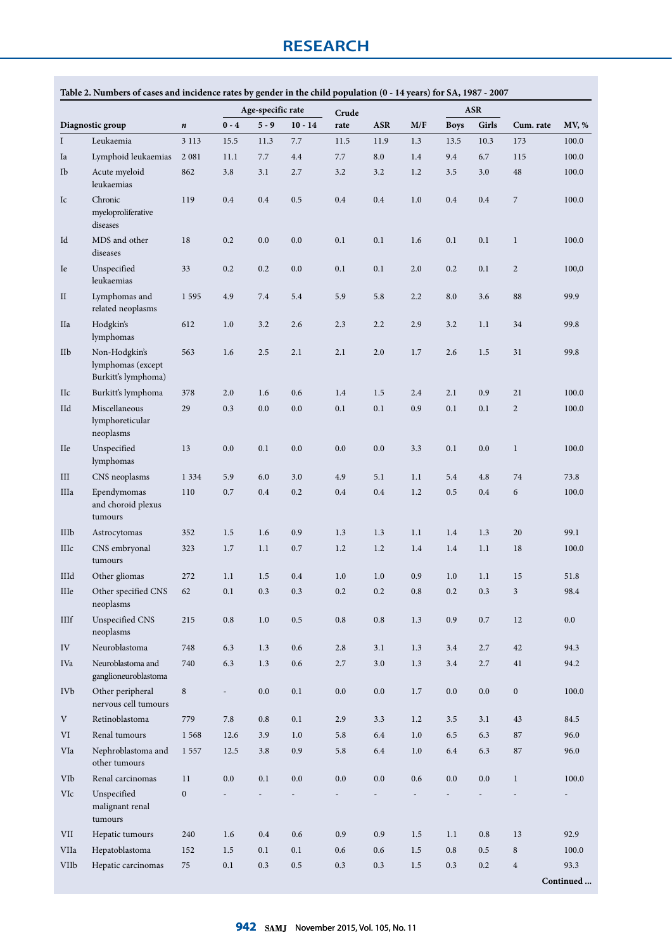|             |                                                           |                  |                          | Age-specific rate |           |               |            |         |             | <b>ASR</b> |                  |           |
|-------------|-----------------------------------------------------------|------------------|--------------------------|-------------------|-----------|---------------|------------|---------|-------------|------------|------------------|-----------|
|             | Diagnostic group                                          | $\boldsymbol{n}$ | $0 - 4$                  | $5 - 9$           | $10 - 14$ | Crude<br>rate | <b>ASR</b> | M/F     | <b>Boys</b> | Girls      | Cum. rate        | MV, %     |
| I           | Leukaemia                                                 | 3 1 1 3          | 15.5                     | 11.3              | 7.7       | 11.5          | 11.9       | 1.3     | 13.5        | 10.3       | 173              | 100.0     |
| Ia          | Lymphoid leukaemias                                       | 2 0 8 1          | 11.1                     | 7.7               | 4.4       | 7.7           | 8.0        | 1.4     | 9.4         | 6.7        | 115              | 100.0     |
| Ib          | Acute myeloid                                             | 862              | 3.8                      | 3.1               | 2.7       | 3.2           | 3.2        | 1.2     | 3.5         | 3.0        | 48               | 100.0     |
|             | leukaemias                                                |                  |                          |                   |           |               |            |         |             |            |                  |           |
| Ic          | Chronic<br>myeloproliferative<br>diseases                 | 119              | 0.4                      | 0.4               | 0.5       | 0.4           | 0.4        | 1.0     | 0.4         | 0.4        | $\boldsymbol{7}$ | 100.0     |
| Id          | MDS and other<br>diseases                                 | 18               | 0.2                      | 0.0               | 0.0       | 0.1           | 0.1        | 1.6     | 0.1         | 0.1        | $\mathbf{1}$     | 100.0     |
| Ie          | Unspecified<br>leukaemias                                 | 33               | 0.2                      | 0.2               | 0.0       | 0.1           | 0.1        | 2.0     | 0.2         | 0.1        | $\overline{2}$   | 100,0     |
| $\rm II$    | Lymphomas and<br>related neoplasms                        | 1595             | 4.9                      | 7.4               | 5.4       | 5.9           | 5.8        | 2.2     | 8.0         | 3.6        | 88               | 99.9      |
| IIa         | Hodgkin's<br>lymphomas                                    | 612              | 1.0                      | 3.2               | 2.6       | 2.3           | 2.2        | 2.9     | 3.2         | 1.1        | 34               | 99.8      |
| IIb         | Non-Hodgkin's<br>lymphomas (except<br>Burkitt's lymphoma) | 563              | 1.6                      | 2.5               | 2.1       | 2.1           | 2.0        | 1.7     | 2.6         | 1.5        | 31               | 99.8      |
| IIc         | Burkitt's lymphoma                                        | 378              | 2.0                      | 1.6               | 0.6       | 1.4           | 1.5        | 2.4     | 2.1         | 0.9        | 21               | 100.0     |
| IId         | Miscellaneous<br>lymphoreticular<br>neoplasms             | 29               | 0.3                      | 0.0               | 0.0       | 0.1           | 0.1        | 0.9     | 0.1         | 0.1        | $\overline{2}$   | 100.0     |
| <b>IIe</b>  | Unspecified<br>lymphomas                                  | 13               | 0.0                      | 0.1               | 0.0       | 0.0           | 0.0        | 3.3     | 0.1         | 0.0        | $\mathbf{1}$     | 100.0     |
| III         | CNS neoplasms                                             | 1 3 3 4          | 5.9                      | 6.0               | 3.0       | 4.9           | 5.1        | 1.1     | 5.4         | 4.8        | 74               | 73.8      |
| IIIa        | Ependymomas<br>and choroid plexus<br>tumours              | 110              | 0.7                      | 0.4               | 0.2       | 0.4           | 0.4        | 1.2     | 0.5         | 0.4        | 6                | 100.0     |
| IIIb        | Astrocytomas                                              | 352              | 1.5                      | 1.6               | 0.9       | 1.3           | 1.3        | 1.1     | 1.4         | 1.3        | 20               | 99.1      |
| <b>IIIc</b> | CNS embryonal<br>tumours                                  | 323              | 1.7                      | 1.1               | 0.7       | 1.2           | 1.2        | 1.4     | 1.4         | 1.1        | 18               | 100.0     |
| IIId        | Other gliomas                                             | 272              | 1.1                      | 1.5               | 0.4       | 1.0           | 1.0        | 0.9     | 1.0         | 1.1        | 15               | 51.8      |
| IIIe        | Other specified CNS<br>neoplasms                          | 62               | $0.1\,$                  | 0.3               | $0.3\,$   | $0.2\,$       | 0.2        | $0.8\,$ | 0.2         | 0.3        | $\mathfrak{Z}$   | 98.4      |
| $\rm IIIf$  | Unspecified CNS<br>neoplasms                              | 215              | $0.8\,$                  | 1.0               | $0.5\,$   | 0.8           | 0.8        | 1.3     | 0.9         | $0.7\,$    | 12               | 0.0       |
| ${\rm IV}$  | Neuroblastoma                                             | 748              | 6.3                      | 1.3               | $0.6\,$   | 2.8           | 3.1        | 1.3     | 3.4         | 2.7        | $42\,$           | 94.3      |
| IVa         | Neuroblastoma and<br>ganglioneuroblastoma                 | 740              | 6.3                      | 1.3               | $0.6\,$   | 2.7           | 3.0        | 1.3     | 3.4         | 2.7        | 41               | 94.2      |
| <b>IVb</b>  | Other peripheral<br>nervous cell tumours                  | $\,8\,$          | $\sim$                   | 0.0               | $0.1\,$   | $0.0\,$       | 0.0        | $1.7\,$ | 0.0         | $0.0\,$    | $\boldsymbol{0}$ | 100.0     |
| $\mathbf V$ | Retinoblastoma                                            | 779              | 7.8                      | 0.8               | 0.1       | 2.9           | 3.3        | 1.2     | 3.5         | 3.1        | $43\,$           | 84.5      |
| VI          | Renal tumours                                             | 1 5 6 8          | 12.6                     | 3.9               | 1.0       | 5.8           | 6.4        | $1.0\,$ | 6.5         | 6.3        | $87\,$           | 96.0      |
| VIa         | Nephroblastoma and<br>other tumours                       | 1 5 5 7          | 12.5                     | 3.8               | $0.9\,$   | 5.8           | 6.4        | 1.0     | 6.4         | 6.3        | 87               | 96.0      |
| VIb         | Renal carcinomas                                          | 11               | 0.0                      | 0.1               | 0.0       | 0.0           | 0.0        | $0.6\,$ | 0.0         | $0.0\,$    | $\mathbf{1}$     | 100.0     |
| VIc         | Unspecified<br>malignant renal<br>tumours                 | $\boldsymbol{0}$ | $\overline{\phantom{a}}$ |                   |           |               |            |         |             |            |                  |           |
| VII         | Hepatic tumours                                           | 240              | 1.6                      | $0.4\,$           | 0.6       | 0.9           | 0.9        | 1.5     | 1.1         | 0.8        | 13               | 92.9      |
| VIIa        | Hepatoblastoma                                            | 152              | $1.5\,$                  | 0.1               | 0.1       | 0.6           | 0.6        | $1.5\,$ | 0.8         | 0.5        | $\,8\,$          | 100.0     |
| <b>VIIb</b> | Hepatic carcinomas                                        | 75               | 0.1                      | 0.3               | 0.5       | 0.3           | 0.3        | $1.5\,$ | 0.3         | 0.2        | $\,4$            | 93.3      |
|             |                                                           |                  |                          |                   |           |               |            |         |             |            |                  | Continued |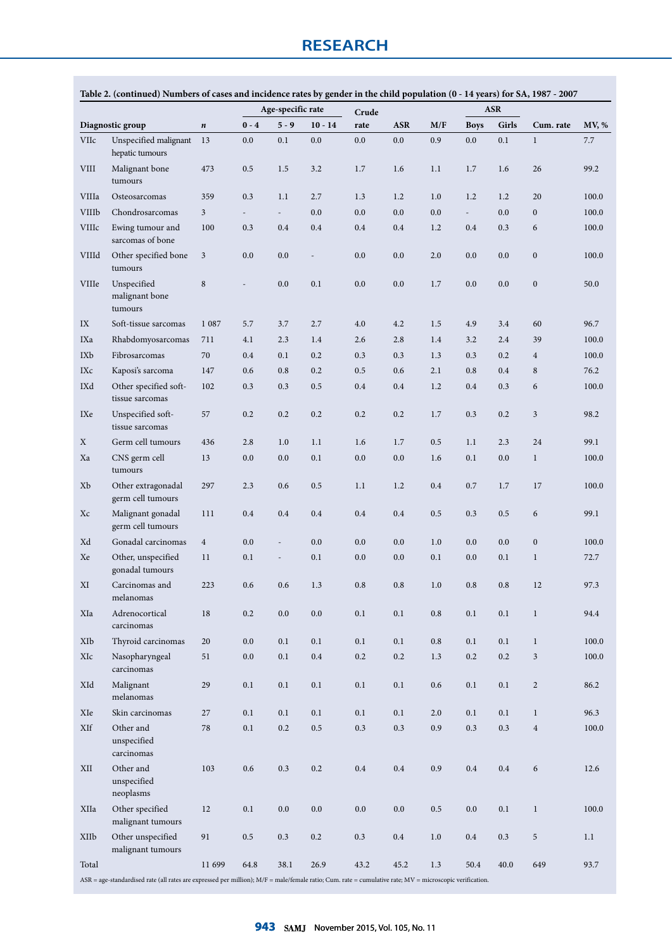|              |                                                                                                                                                         |                  |         | Age-specific rate        |                | Crude     |            |           |             | <b>ASR</b> |                  |       |
|--------------|---------------------------------------------------------------------------------------------------------------------------------------------------------|------------------|---------|--------------------------|----------------|-----------|------------|-----------|-------------|------------|------------------|-------|
|              | Diagnostic group                                                                                                                                        | $\boldsymbol{n}$ | $0 - 4$ | $5 - 9$                  | $10 - 14$      | rate      | <b>ASR</b> | M/F       | <b>Boys</b> | Girls      | Cum. rate        | MV, % |
| VIIc         | Unspecified malignant<br>hepatic tumours                                                                                                                | 13               | 0.0     | 0.1                      | 0.0            | 0.0       | 0.0        | 0.9       | 0.0         | 0.1        | $\mathbf{1}$     | 7.7   |
| <b>VIII</b>  | Malignant bone<br>tumours                                                                                                                               | 473              | 0.5     | 1.5                      | 3.2            | 1.7       | 1.6        | 1.1       | 1.7         | 1.6        | 26               | 99.2  |
| VIIIa        | Osteosarcomas                                                                                                                                           | 359              | 0.3     | 1.1                      | 2.7            | 1.3       | 1.2        | 1.0       | 1.2         | 1.2        | 20               | 100.0 |
| <b>VIIIb</b> | Chondrosarcomas                                                                                                                                         | $\overline{3}$   | $\sim$  | $\sim$                   | 0.0            | 0.0       | 0.0        | 0.0       | $\sim$      | 0.0        | $\overline{0}$   | 100.0 |
| VIIIc        | Ewing tumour and<br>sarcomas of bone                                                                                                                    | 100              | 0.3     | 0.4                      | 0.4            | 0.4       | 0.4        | 1.2       | 0.4         | 0.3        | 6                | 100.0 |
| VIIId        | Other specified bone<br>tumours                                                                                                                         | $\mathfrak{Z}$   | 0.0     | 0.0                      | $\overline{a}$ | 0.0       | 0.0        | 2.0       | 0.0         | 0.0        | $\boldsymbol{0}$ | 100.0 |
| <b>VIIIe</b> | Unspecified<br>malignant bone<br>tumours                                                                                                                | $\,$ 8 $\,$      |         | 0.0                      | 0.1            | 0.0       | 0.0        | 1.7       | 0.0         | 0.0        | $\boldsymbol{0}$ | 50.0  |
| IX           | Soft-tissue sarcomas                                                                                                                                    | 1 0 8 7          | 5.7     | 3.7                      | 2.7            | 4.0       | 4.2        | 1.5       | 4.9         | 3.4        | 60               | 96.7  |
| IXa          | Rhabdomyosarcomas                                                                                                                                       | 711              | 4.1     | 2.3                      | 1.4            | 2.6       | 2.8        | 1.4       | 3.2         | 2.4        | 39               | 100.0 |
| IXb          | Fibrosarcomas                                                                                                                                           | 70               | 0.4     | 0.1                      | 0.2            | 0.3       | 0.3        | 1.3       | 0.3         | 0.2        | $\overline{4}$   | 100.0 |
| IXc          | Kaposi's sarcoma                                                                                                                                        | 147              | 0.6     | 0.8                      | 0.2            | 0.5       | 0.6        | 2.1       | 0.8         | 0.4        | 8                | 76.2  |
| IXd          | Other specified soft-<br>tissue sarcomas                                                                                                                | 102              | 0.3     | 0.3                      | 0.5            | 0.4       | 0.4        | 1.2       | 0.4         | 0.3        | 6                | 100.0 |
| IXe          | Unspecified soft-<br>tissue sarcomas                                                                                                                    | 57               | 0.2     | 0.2                      | 0.2            | 0.2       | 0.2        | 1.7       | 0.3         | 0.2        | 3                | 98.2  |
| Χ            | Germ cell tumours                                                                                                                                       | 436              | 2.8     | 1.0                      | 1.1            | 1.6       | 1.7        | 0.5       | 1.1         | 2.3        | 24               | 99.1  |
| Xa           | CNS germ cell<br>tumours                                                                                                                                | 13               | 0.0     | 0.0                      | 0.1            | 0.0       | 0.0        | 1.6       | 0.1         | 0.0        | $\mathbf{1}$     | 100.0 |
| Xb           | Other extragonadal<br>germ cell tumours                                                                                                                 | 297              | 2.3     | 0.6                      | 0.5            | 1.1       | 1.2        | 0.4       | 0.7         | 1.7        | 17               | 100.0 |
| Xc           | Malignant gonadal<br>germ cell tumours                                                                                                                  | 111              | 0.4     | 0.4                      | 0.4            | 0.4       | 0.4        | 0.5       | 0.3         | 0.5        | 6                | 99.1  |
| Xd           | Gonadal carcinomas                                                                                                                                      | $\overline{4}$   | 0.0     | $\overline{\phantom{a}}$ | 0.0            | 0.0       | 0.0        | 1.0       | 0.0         | 0.0        | $\boldsymbol{0}$ | 100.0 |
| Xe           | Other, unspecified<br>gonadal tumours                                                                                                                   | 11               | 0.1     | $\overline{\phantom{a}}$ | 0.1            | 0.0       | 0.0        | 0.1       | 0.0         | 0.1        | $\mathbf{1}$     | 72.7  |
| XI           | Carcinomas and<br>melanomas                                                                                                                             | 223              | 0.6     | 0.6                      | 1.3            | 0.8       | 0.8        | 1.0       | 0.8         | 0.8        | 12               | 97.3  |
| XIa          | Adrenocortical<br>carcinomas                                                                                                                            | 18               | 0.2     | 0.0                      | 0.0            | $0.1\,$   | 0.1        | 0.8       | $0.1\,$     | $0.1\,$    | $\mathbf{1}$     | 94.4  |
| XIb          | Thyroid carcinomas                                                                                                                                      | 20               | $0.0\,$ | $0.1\,$                  | 0.1            | 0.1       | 0.1        | $\rm 0.8$ | $0.1\,$     | 0.1        | $\mathbf{1}$     | 100.0 |
| XIc          | Nasopharyngeal<br>carcinomas                                                                                                                            | 51               | 0.0     | 0.1                      | 0.4            | 0.2       | 0.2        | 1.3       | 0.2         | 0.2        | 3                | 100.0 |
| XId          | Malignant<br>melanomas                                                                                                                                  | 29               | $0.1\,$ | $0.1\,$                  | $0.1\,$        | $0.1\,$   | 0.1        | $0.6\,$   | $0.1\,$     | 0.1        | $\overline{c}$   | 86.2  |
| XIe          | Skin carcinomas                                                                                                                                         | $27\,$           | 0.1     | 0.1                      | 0.1            | 0.1       | 0.1        | 2.0       | 0.1         | 0.1        | $\mathbf{1}$     | 96.3  |
| XIf          | Other and<br>unspecified<br>carcinomas                                                                                                                  | 78               | 0.1     | $0.2\,$                  | $0.5\,$        | 0.3       | 0.3        | 0.9       | 0.3         | $0.3\,$    | $\overline{4}$   | 100.0 |
| XII          | Other and<br>unspecified<br>neoplasms                                                                                                                   | 103              | 0.6     | $0.3\,$                  | 0.2            | $\rm 0.4$ | $0.4\,$    | 0.9       | 0.4         | $0.4\,$    | 6                | 12.6  |
| XIIa         | Other specified<br>malignant tumours                                                                                                                    | 12               | 0.1     | 0.0                      | 0.0            | 0.0       | 0.0        | $0.5\,$   | 0.0         | 0.1        | $\mathbf{1}$     | 100.0 |
| XIIb         | Other unspecified<br>malignant tumours                                                                                                                  | 91               | 0.5     | 0.3                      | 0.2            | 0.3       | $0.4\,$    | $1.0\,$   | 0.4         | 0.3        | 5                | 1.1   |
| Total        |                                                                                                                                                         | 11 699           | 64.8    | 38.1                     | 26.9           | 43.2      | 45.2       | 1.3       | 50.4        | 40.0       | 649              | 93.7  |
|              | ASR = age-standardised rate (all rates are expressed per million); M/F = male/female ratio; Cum. rate = cumulative rate; MV = microscopic verification. |                  |         |                          |                |           |            |           |             |            |                  |       |

### **Table 2. (continued) Numbers of cases and incidence rates by gender in the child population (0 - 14 years) for SA, 1987 - 2007**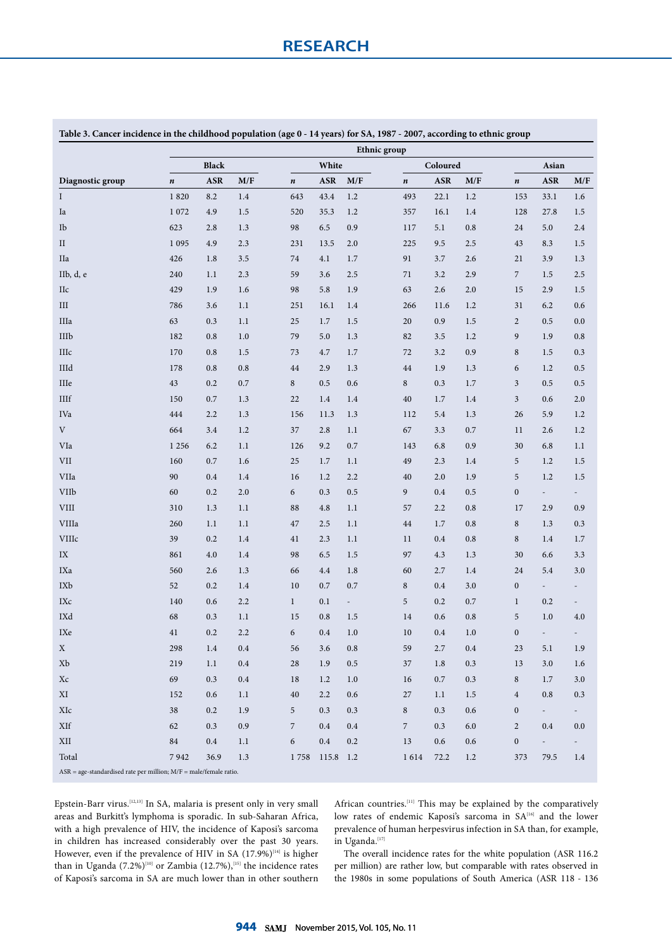| rable 5. Cancer incluence in the childhood population (age 0 - 14 years) for 5A, 1967 - 2007, according to ethnic group |           |              |     |                |            | Ethnic group |                |            |                         |                  |                          |                          |  |  |  |  |  |  |
|-------------------------------------------------------------------------------------------------------------------------|-----------|--------------|-----|----------------|------------|--------------|----------------|------------|-------------------------|------------------|--------------------------|--------------------------|--|--|--|--|--|--|
|                                                                                                                         |           | <b>Black</b> |     |                | White      |              |                | Coloured   |                         | Asian            |                          |                          |  |  |  |  |  |  |
| Diagnostic group                                                                                                        | $\pmb{n}$ | <b>ASR</b>   | M/F | $\pmb{n}$      | <b>ASR</b> | M/F          | $\pmb{n}$      | <b>ASR</b> | $\mathbf{M}/\mathbf{F}$ | $\pmb{n}$        | <b>ASR</b>               | M/F                      |  |  |  |  |  |  |
| Ι                                                                                                                       | 1820      | 8.2          | 1.4 | 643            | 43.4       | 1.2          | 493            | 22.1       | $1.2\,$                 | 153              | 33.1                     | 1.6                      |  |  |  |  |  |  |
| Ia                                                                                                                      | 1 0 7 2   | 4.9          | 1.5 | 520            | 35.3       | 1.2          | 357            | 16.1       | 1.4                     | 128              | 27.8                     | 1.5                      |  |  |  |  |  |  |
| Ib                                                                                                                      | 623       | 2.8          | 1.3 | 98             | 6.5        | 0.9          | 117            | 5.1        | $0.8\,$                 | 24               | 5.0                      | $2.4\,$                  |  |  |  |  |  |  |
| $\rm II$                                                                                                                | 1 0 9 5   | 4.9          | 2.3 | 231            | 13.5       | 2.0          | 225            | 9.5        | 2.5                     | 43               | 8.3                      | $1.5\,$                  |  |  |  |  |  |  |
| <b>IIa</b>                                                                                                              | 426       | 1.8          | 3.5 | 74             | 4.1        | 1.7          | 91             | 3.7        | 2.6                     | 21               | 3.9                      | 1.3                      |  |  |  |  |  |  |
| IIb, d, e                                                                                                               | 240       | 1.1          | 2.3 | 59             | 3.6        | 2.5          | 71             | 3.2        | 2.9                     | $\overline{7}$   | 1.5                      | $2.5\,$                  |  |  |  |  |  |  |
| IIc                                                                                                                     | 429       | 1.9          | 1.6 | 98             | 5.8        | 1.9          | 63             | 2.6        | $2.0\,$                 | 15               | 2.9                      | 1.5                      |  |  |  |  |  |  |
| III                                                                                                                     | 786       | 3.6          | 1.1 | 251            | 16.1       | 1.4          | 266            | 11.6       | $1.2\,$                 | 31               | 6.2                      | 0.6                      |  |  |  |  |  |  |
| IIIa                                                                                                                    | 63        | 0.3          | 1.1 | 25             | 1.7        | 1.5          | 20             | 0.9        | 1.5                     | $\sqrt{2}$       | 0.5                      | 0.0                      |  |  |  |  |  |  |
| IIIb                                                                                                                    | 182       | 0.8          | 1.0 | 79             | 5.0        | 1.3          | 82             | 3.5        | 1.2                     | $\boldsymbol{9}$ | 1.9                      | 0.8                      |  |  |  |  |  |  |
| IIIc                                                                                                                    | 170       | 0.8          | 1.5 | 73             | 4.7        | 1.7          | 72             | 3.2        | 0.9                     | $\,$ 8 $\,$      | 1.5                      | 0.3                      |  |  |  |  |  |  |
| IIId                                                                                                                    | 178       | $0.8\,$      | 0.8 | 44             | 2.9        | 1.3          | 44             | 1.9        | 1.3                     | 6                | 1.2                      | 0.5                      |  |  |  |  |  |  |
| $\rm IIIe$                                                                                                              | 43        | 0.2          | 0.7 | $\,8\,$        | 0.5        | 0.6          | $\,8\,$        | 0.3        | $1.7\,$                 | $\mathfrak z$    | 0.5                      | $0.5\,$                  |  |  |  |  |  |  |
| $\rm IIIf$                                                                                                              | 150       | 0.7          | 1.3 | 22             | 1.4        | 1.4          | 40             | 1.7        | $1.4\,$                 | $\mathfrak z$    | 0.6                      | $2.0\,$                  |  |  |  |  |  |  |
| IVa                                                                                                                     | 444       | 2.2          | 1.3 | 156            | 11.3       | 1.3          | 112            | 5.4        | 1.3                     | 26               | 5.9                      | 1.2                      |  |  |  |  |  |  |
| V                                                                                                                       | 664       | 3.4          | 1.2 | 37             | 2.8        | 1.1          | 67             | 3.3        | 0.7                     | 11               | 2.6                      | 1.2                      |  |  |  |  |  |  |
| VIa                                                                                                                     | 1 2 5 6   | 6.2          | 1.1 | 126            | 9.2        | 0.7          | 143            | 6.8        | 0.9                     | 30               | 6.8                      | $1.1\,$                  |  |  |  |  |  |  |
| <b>VII</b>                                                                                                              | 160       | 0.7          | 1.6 | 25             | 1.7        | 1.1          | 49             | 2.3        | $1.4\,$                 | $\sqrt{5}$       | 1.2                      | 1.5                      |  |  |  |  |  |  |
| VIIa                                                                                                                    | 90        | 0.4          | 1.4 | 16             | 1.2        | 2.2          | 40             | 2.0        | 1.9                     | $\mathbf 5$      | 1.2                      | 1.5                      |  |  |  |  |  |  |
| <b>VIIb</b>                                                                                                             | 60        | 0.2          | 2.0 | 6              | 0.3        | 0.5          | 9              | 0.4        | 0.5                     | $\boldsymbol{0}$ | $\overline{\phantom{a}}$ | $\overline{\phantom{a}}$ |  |  |  |  |  |  |
| ${\rm VIII}$                                                                                                            | 310       | 1.3          | 1.1 | 88             | 4.8        | 1.1          | 57             | 2.2        | $\rm 0.8$               | 17               | 2.9                      | 0.9                      |  |  |  |  |  |  |
| VIIIa                                                                                                                   | 260       | 1.1          | 1.1 | 47             | 2.5        | 1.1          | 44             | 1.7        | $0.8\,$                 | $\,$ 8 $\,$      | 1.3                      | 0.3                      |  |  |  |  |  |  |
| VIIIc                                                                                                                   | 39        | 0.2          | 1.4 | 41             | 2.3        | 1.1          | 11             | 0.4        | 0.8                     | $\,$ 8 $\,$      | 1.4                      | $1.7\,$                  |  |  |  |  |  |  |
| IX                                                                                                                      | 861       | 4.0          | 1.4 | 98             | 6.5        | 1.5          | 97             | 4.3        | $1.3$                   | 30               | 6.6                      | 3.3                      |  |  |  |  |  |  |
| IXa                                                                                                                     | 560       | 2.6          | 1.3 | 66             | 4.4        | 1.8          | 60             | 2.7        | 1.4                     | 24               | 5.4                      | 3.0                      |  |  |  |  |  |  |
| IXb                                                                                                                     | 52        | 0.2          | 1.4 | 10             | 0.7        | 0.7          | $\,$ 8 $\,$    | 0.4        | 3.0                     | $\boldsymbol{0}$ | $\overline{a}$           |                          |  |  |  |  |  |  |
| $\operatorname{IXc}$                                                                                                    | 140       | 0.6          | 2.2 | $\mathbf{1}$   | 0.1        | ÷,           | 5              | 0.2        | $0.7\,$                 | $\mathbf{1}$     | 0.2                      |                          |  |  |  |  |  |  |
| IXd                                                                                                                     | 68        | 0.3          | 1.1 | 15             | 0.8        | 1.5          | 14             | 0.6        | $\rm 0.8$               | $\mathbf 5$      | 1.0                      | 4.0                      |  |  |  |  |  |  |
| IXe                                                                                                                     | 41        | 0.2          | 2.2 | 6              | 0.4        | 1.0          | 10             | 0.4        | $1.0\,$                 | $\boldsymbol{0}$ | $\overline{\phantom{a}}$ | $\overline{\phantom{a}}$ |  |  |  |  |  |  |
| X                                                                                                                       | 298       | 1.4          | 0.4 | 56             | 3.6        | 0.8          | 59             | 2.7        | 0.4                     | 23               | 5.1                      | 1.9                      |  |  |  |  |  |  |
| Xb                                                                                                                      | 219       | 1.1          | 0.4 | 28             | 1.9        | 0.5          | 37             | 1.8        | 0.3                     | 13               | 3.0                      | 1.6                      |  |  |  |  |  |  |
| Xc                                                                                                                      | 69        | 0.3          | 0.4 | 18             | 1.2        | 1.0          | 16             | 0.7        | 0.3                     | $\,8\,$          | 1.7                      | 3.0                      |  |  |  |  |  |  |
| XI                                                                                                                      | 152       | 0.6          | 1.1 | 40             | 2.2        | 0.6          | 27             | 1.1        | 1.5                     | $\overline{4}$   | 0.8                      | 0.3                      |  |  |  |  |  |  |
| XIc                                                                                                                     | 38        | 0.2          | 1.9 | 5              | 0.3        | 0.3          | $\,$ 8 $\,$    | 0.3        | 0.6                     | $\boldsymbol{0}$ | $\sim$                   | $\sim$                   |  |  |  |  |  |  |
| XIf                                                                                                                     | 62        | 0.3          | 0.9 | $\overline{7}$ | 0.4        | 0.4          | $\overline{7}$ | 0.3        | 6.0                     | $\overline{c}$   | 0.4                      | 0.0                      |  |  |  |  |  |  |
| XII                                                                                                                     | 84        | $0.4\,$      | 1.1 | 6              | 0.4        | 0.2          | 13             | 0.6        | 0.6                     | $\boldsymbol{0}$ | $\overline{\phantom{a}}$ | $\overline{\phantom{a}}$ |  |  |  |  |  |  |
| Total                                                                                                                   | 7942      | 36.9         | 1.3 | 1758           | 115.8 1.2  |              | 1614           | 72.2       | 1.2                     | 373              | 79.5                     | 1.4                      |  |  |  |  |  |  |
| $ASR = age-standardised rate per million; M/F = male/female ratio.$                                                     |           |              |     |                |            |              |                |            |                         |                  |                          |                          |  |  |  |  |  |  |

**Table 3. Cancer incidence in the childhood population (age 0 - 14 years) for SA, 1987 - 2007, according to ethnic group**

Epstein-Barr virus.[12,13] In SA, malaria is present only in very small areas and Burkitt's lymphoma is sporadic. In sub-Saharan Africa, with a high prevalence of HIV, the incidence of Kaposi's sarcoma in children has increased considerably over the past 30 years. However, even if the prevalence of HIV in SA  $(17.9\%)^{[14]}$  is higher than in Uganda  $(7.2\%)^{[10]}$  or Zambia (12.7%),<sup>[15]</sup> the incidence rates of Kaposi's sarcoma in SA are much lower than in other southern African countries.<sup>[11]</sup> This may be explained by the comparatively low rates of endemic Kaposi's sarcoma in SA<sup>[16]</sup> and the lower prevalence of human herpesvirus infection in SA than, for example, in Uganda.[17]

The overall incidence rates for the white population (ASR 116.2 per million) are rather low, but comparable with rates observed in the 1980s in some populations of South America (ASR 118 - 136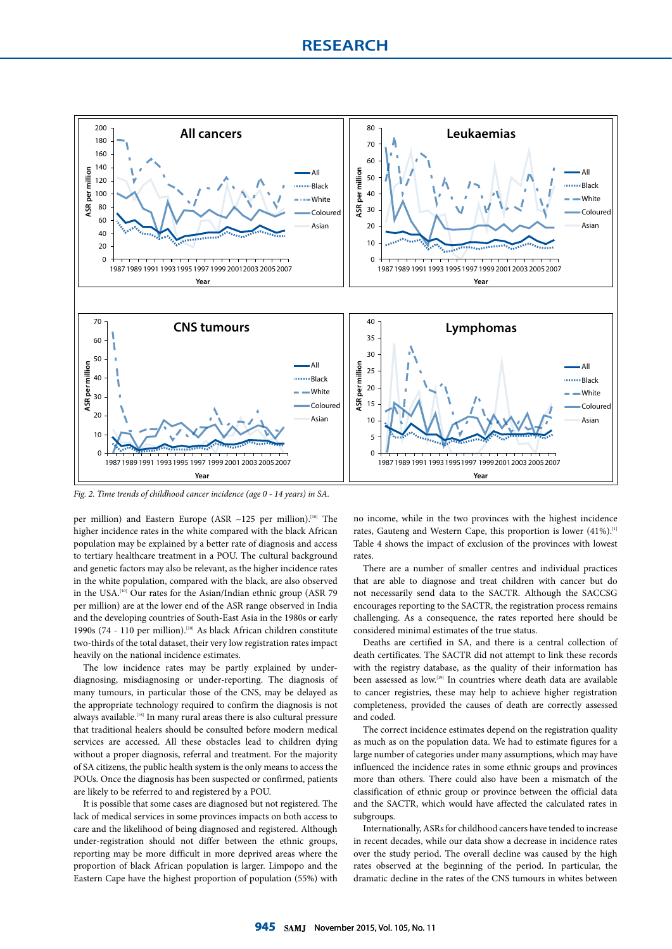

*Fig. 2. Time trends of childhood cancer incidence (age 0 - 14 years) in SA.*

per million) and Eastern Europe (ASR ~125 per million).<sup>[10]</sup> The higher incidence rates in the white compared with the black African population may be explained by a better rate of diagnosis and access to tertiary healthcare treatment in a POU. The cultural background and genetic factors may also be relevant, as the higher incidence rates in the white population, compared with the black, are also observed in the USA.<sup>[10]</sup> Our rates for the Asian/Indian ethnic group (ASR 79 per million) are at the lower end of the ASR range observed in India and the developing countries of South-East Asia in the 1980s or early 1990s (74 - 110 per million).<sup>[10]</sup> As black African children constitute two-thirds of the total dataset, their very low registration rates impact heavily on the national incidence estimates.

The low incidence rates may be partly explained by underdiagnosing, misdiagnosing or under-reporting. The diagnosis of many tumours, in particular those of the CNS, may be delayed as the appropriate technology required to confirm the diagnosis is not always available.<sup>[18]</sup> In many rural areas there is also cultural pressure that traditional healers should be consulted before modern medical services are accessed. All these obstacles lead to children dying without a proper diagnosis, referral and treatment. For the majority of SA citizens, the public health system is the only means to access the POUs. Once the diagnosis has been suspected or confirmed, patients are likely to be referred to and registered by a POU.

It is possible that some cases are diagnosed but not registered. The lack of medical services in some provinces impacts on both access to care and the likelihood of being diagnosed and registered. Although under-registration should not differ between the ethnic groups, reporting may be more difficult in more deprived areas where the proportion of black African population is larger. Limpopo and the Eastern Cape have the highest proportion of population (55%) with no income, while in the two provinces with the highest incidence rates, Gauteng and Western Cape, this proportion is lower (41%).<sup>[1]</sup> Table 4 shows the impact of exclusion of the provinces with lowest rates

There are a number of smaller centres and individual practices that are able to diagnose and treat children with cancer but do not necessarily send data to the SACTR. Although the SACCSG encourages reporting to the SACTR, the registration process remains challenging. As a consequence, the rates reported here should be considered minimal estimates of the true status.

Deaths are certified in SA, and there is a central collection of death certificates. The SACTR did not attempt to link these records with the registry database, as the quality of their information has been assessed as low.[19] In countries where death data are available to cancer registries, these may help to achieve higher registration completeness, provided the causes of death are correctly assessed and coded.

The correct incidence estimates depend on the registration quality as much as on the population data. We had to estimate figures for a large number of categories under many assumptions, which may have influenced the incidence rates in some ethnic groups and provinces more than others. There could also have been a mismatch of the classification of ethnic group or province between the official data and the SACTR, which would have affected the calculated rates in subgroups.

Internationally, ASRs for childhood cancers have tended to increase in recent decades, while our data show a decrease in incidence rates over the study period. The overall decline was caused by the high rates observed at the beginning of the period. In particular, the dramatic decline in the rates of the CNS tumours in whites between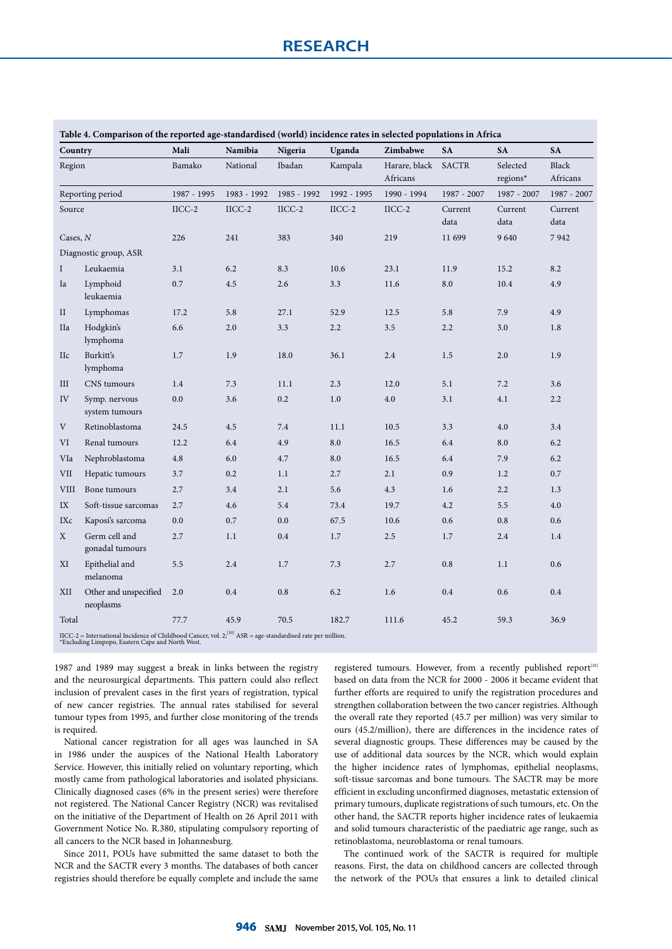|                            | Table 4. Comparison of the reported age-standardised (world) incidence rates in selected populations in Africa                  |             |                 |             |             |                           |                 |                      |                                  |  |  |  |
|----------------------------|---------------------------------------------------------------------------------------------------------------------------------|-------------|-----------------|-------------|-------------|---------------------------|-----------------|----------------------|----------------------------------|--|--|--|
| Country                    |                                                                                                                                 | Mali        | Namibia         | Nigeria     | Uganda      | Zimbabwe                  | <b>SA</b>       | <b>SA</b>            | <b>SA</b>                        |  |  |  |
| Region<br>Reporting period |                                                                                                                                 | Bamako      | National        | Ibadan      | Kampala     | Harare, black<br>Africans | <b>SACTR</b>    | Selected<br>regions* | Black<br>Africans<br>1987 - 2007 |  |  |  |
|                            |                                                                                                                                 | 1987 - 1995 | 1983 - 1992     | 1985 - 1992 | 1992 - 1995 | 1990 - 1994               | 1987 - 2007     | 1987 - 2007          |                                  |  |  |  |
| Source                     |                                                                                                                                 | $IICC-2$    | $\text{IICC-2}$ | $IICC-2$    | $IICC-2$    | $IICC-2$                  | Current<br>data | Current<br>data      | Current<br>data                  |  |  |  |
| Cases, $N$                 |                                                                                                                                 | 226         | 241             | 383         | 340         | 219                       | 11 699          | 9640                 | 7942                             |  |  |  |
|                            | Diagnostic group, ASR                                                                                                           |             |                 |             |             |                           |                 |                      |                                  |  |  |  |
| $\mathbf I$                | Leukaemia                                                                                                                       | 3.1         | 6.2             | 8.3         | 10.6        | 23.1                      | 11.9            | 15.2                 | 8.2                              |  |  |  |
| Ia                         | Lymphoid<br>leukaemia                                                                                                           | 0.7         | 4.5             | 2.6         | 3.3         | 11.6                      | 8.0             | 10.4                 | 4.9                              |  |  |  |
| $\rm II$                   | Lymphomas                                                                                                                       | 17.2        | 5.8             | 27.1        | 52.9        | 12.5                      | 5.8             | 7.9                  | 4.9                              |  |  |  |
| <b>IIa</b>                 | Hodgkin's<br>lymphoma                                                                                                           | 6.6         | 2.0             | 3.3         | 2.2         | 3.5                       | 2.2             | 3.0                  | 1.8                              |  |  |  |
| <b>IIc</b>                 | Burkitt's<br>lymphoma                                                                                                           | 1.7         | 1.9             | 18.0        | 36.1        | 2.4                       | 1.5             | 2.0                  | 1.9                              |  |  |  |
| III                        | CNS tumours                                                                                                                     | 1.4         | 7.3             | 11.1        | 2.3         | 12.0                      | 5.1             | 7.2                  | 3.6                              |  |  |  |
| IV                         | Symp. nervous<br>system tumours                                                                                                 | 0.0         | 3.6             | 0.2         | 1.0         | 4.0                       | 3.1             | 4.1                  | 2.2                              |  |  |  |
| V                          | Retinoblastoma                                                                                                                  | 24.5        | 4.5             | 7.4         | 11.1        | 10.5                      | 3.3             | 4.0                  | 3.4                              |  |  |  |
| VI                         | Renal tumours                                                                                                                   | 12.2        | 6.4             | 4.9         | 8.0         | 16.5                      | 6.4             | 8.0                  | 6.2                              |  |  |  |
| VIa                        | Nephroblastoma                                                                                                                  | 4.8         | 6.0             | 4.7         | 8.0         | 16.5                      | 6.4             | 7.9                  | 6.2                              |  |  |  |
| VII                        | Hepatic tumours                                                                                                                 | 3.7         | 0.2             | 1.1         | 2.7         | 2.1                       | 0.9             | 1.2                  | 0.7                              |  |  |  |
| <b>VIII</b>                | Bone tumours                                                                                                                    | 2.7         | 3.4             | 2.1         | 5.6         | 4.3                       | 1.6             | 2.2                  | 1.3                              |  |  |  |
| IX                         | Soft-tissue sarcomas                                                                                                            | 2.7         | 4.6             | 5.4         | 73.4        | 19.7                      | 4.2             | 5.5                  | 4.0                              |  |  |  |
| IXc                        | Kaposi's sarcoma                                                                                                                | 0.0         | 0.7             | 0.0         | 67.5        | 10.6                      | 0.6             | 0.8                  | 0.6                              |  |  |  |
| X                          | Germ cell and<br>gonadal tumours                                                                                                | 2.7         | 1.1             | 0.4         | 1.7         | 2.5                       | 1.7             | 2.4                  | 1.4                              |  |  |  |
| ΧI                         | Epithelial and<br>melanoma                                                                                                      | 5.5         | 2.4             | 1.7         | 7.3         | 2.7                       | 0.8             | 1.1                  | 0.6                              |  |  |  |
| XII                        | Other and unspecified<br>neoplasms                                                                                              | 2.0         | 0.4             | 0.8         | 6.2         | 1.6                       | 0.4             | 0.6                  | $0.4\,$                          |  |  |  |
| Total                      |                                                                                                                                 | 77.7        | 45.9            | 70.5        | 182.7       | 111.6                     | 45.2            | 59.3                 | 36.9                             |  |  |  |
|                            | $\Gamma$ <sub>LCC</sub> 2 – International Incidence of Childhood Concer vol. $2^{[10]}$ ASD – egg standardised rate per million |             |                 |             |             |                           |                 |                      |                                  |  |  |  |

IICC-2 = International Incidence of Childhood Cancer, vol. 2;<sup>[10]</sup> ASR = age-standardised rate per million.<br>\*Excluding Limpopo, Eastern Cape and North West.

1987 and 1989 may suggest a break in links between the registry and the neurosurgical departments. This pattern could also reflect inclusion of prevalent cases in the first years of registration, typical of new cancer registries. The annual rates stabilised for several tumour types from 1995, and further close monitoring of the trends is required.

National cancer registration for all ages was launched in SA in 1986 under the auspices of the National Health Laboratory Service. However, this initially relied on voluntary reporting, which mostly came from pathological laboratories and isolated physicians. Clinically diagnosed cases (6% in the present series) were therefore not registered. The National Cancer Registry (NCR) was revitalised on the initiative of the Department of Health on 26 April 2011 with Government Notice No. R.380, stipulating compulsory reporting of all cancers to the NCR based in Johannesburg.

Since 2011, POUs have submitted the same dataset to both the NCR and the SACTR every 3 months. The databases of both cancer registries should therefore be equally complete and include the same

registered tumours. However, from a recently published report<sup>[20]</sup> based on data from the NCR for 2000 - 2006 it became evident that further efforts are required to unify the registration procedures and strengthen collaboration between the two cancer registries. Although the overall rate they reported (45.7 per million) was very similar to ours (45.2/million), there are differences in the incidence rates of several diagnostic groups. These differences may be caused by the use of additional data sources by the NCR, which would explain the higher incidence rates of lymphomas, epithelial neoplasms, soft-tissue sarcomas and bone tumours. The SACTR may be more efficient in excluding unconfirmed diagnoses, metastatic extension of primary tumours, duplicate registrations of such tumours, etc. On the other hand, the SACTR reports higher incidence rates of leukaemia and solid tumours characteristic of the paediatric age range, such as retinoblastoma, neuroblastoma or renal tumours.

The continued work of the SACTR is required for multiple reasons. First, the data on childhood cancers are collected through the network of the POUs that ensures a link to detailed clinical